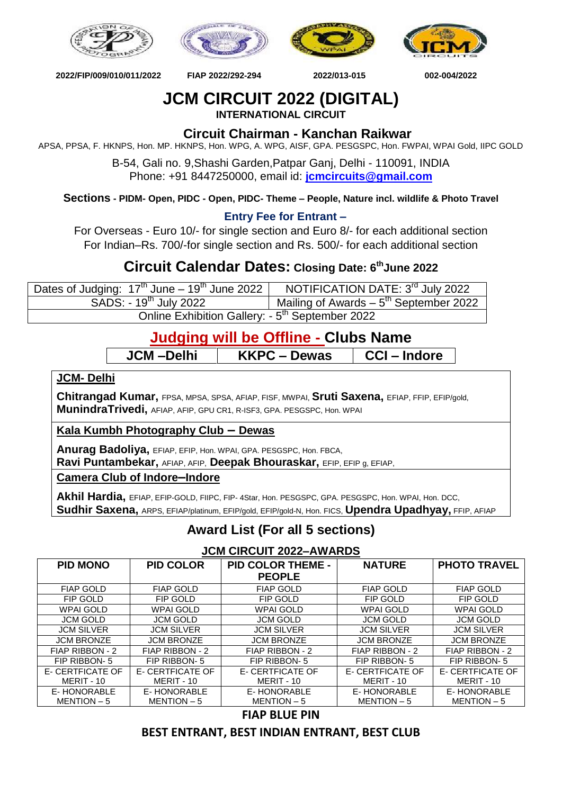







 **2022/FIP/009/010/011/2022 FIAP 2022/292-294 2022/013-015 002-004/2022**

## **JCM CIRCUIT 2022 (DIGITAL)**

**INTERNATIONAL CIRCUIT**

### **Circuit Chairman - Kanchan Raikwar**

APSA, PPSA, F. HKNPS, Hon. MP. HKNPS, Hon. WPG, A. WPG, AISF, GPA. PESGSPC, Hon. FWPAI, WPAI Gold, IIPC GOLD

B-54, Gali no. 9,Shashi Garden,Patpar Ganj, Delhi - 110091, INDIA Phone: +91 8447250000, email id: **[jcmcircuits@gmail.com](mailto:jcmcircuits@gmail.com)**

**Sections - PIDM- Open, PIDC - Open, PIDC- Theme – People, Nature incl. wildlife & Photo Travel**

#### **Entry Fee for Entrant –**

For Overseas - Euro 10/- for single section and Euro 8/- for each additional section For Indian–Rs. 700/-for single section and Rs. 500/- for each additional section

## **Circuit Calendar Dates: Closing Date: 6 thJune 2022**

| Dates of Judging: $17th$ June – $19th$ June 2022            | NOTIFICATION DATE: 3rd July 2022                    |  |  |  |
|-------------------------------------------------------------|-----------------------------------------------------|--|--|--|
| SADS: - 19 <sup>th</sup> July 2022                          | Mailing of Awards $-5$ <sup>th</sup> September 2022 |  |  |  |
| Online Exhibition Gallery: - 5 <sup>th</sup> September 2022 |                                                     |  |  |  |

## **Judging will be Offline - Clubs Name**

**JCM –Delhi KKPC – Dewas CCI – Indore**

**JCM- Delhi**

**Chitrangad Kumar,** FPSA, MPSA, SPSA, AFIAP, FISF, MWPAI, **Sruti Saxena,** EFIAP, FFIP, EFIP/gold, **MunindraTrivedi,** AFIAP, AFIP, GPU CR1, R-ISF3, GPA. PESGSPC, Hon. WPAI

**Kala Kumbh Photography Club – Dewas**

**Anurag Badoliya,** EFIAP, EFIP, Hon. WPAI, GPA. PESGSPC, Hon. FBCA,

**Ravi Puntambekar,** AFIAP, AFIP, **Deepak Bhouraskar,** EFIP, EFIP g, EFIAP,

**Camera Club of Indore–Indore**

**Akhil Hardia,** EFIAP, EFIP-GOLD, FIIPC, FIP- 4Star, Hon. PESGSPC, GPA. PESGSPC, Hon. WPAI, Hon. DCC, **Sudhir Saxena,** ARPS, EFIAP/platinum, EFIP/gold, EFIP/gold-N, Hon. FICS, **Upendra Upadhyay,** FFIP, AFIAP

### **Award List (For all 5 sections)**

#### **JCM CIRCUIT 2022–AWARDS**

| <b>PID MONO</b>   | <b>PID COLOR</b>  | <b>PID COLOR THEME -</b> | <b>NATURE</b>     | <b>PHOTO TRAVEL</b> |
|-------------------|-------------------|--------------------------|-------------------|---------------------|
|                   |                   | <b>PEOPLE</b>            |                   |                     |
| <b>FIAP GOLD</b>  | <b>FIAP GOLD</b>  | <b>FIAP GOLD</b>         | <b>FIAP GOLD</b>  | <b>FIAP GOLD</b>    |
| FIP GOLD          | FIP GOLD          | FIP GOLD                 | FIP GOLD          | FIP GOLD            |
| <b>WPAI GOLD</b>  | <b>WPAI GOLD</b>  | <b>WPAI GOLD</b>         | <b>WPAI GOLD</b>  | <b>WPAI GOLD</b>    |
| <b>JCM GOLD</b>   | <b>JCM GOLD</b>   | <b>JCM GOLD</b>          | <b>JCM GOLD</b>   | <b>JCM GOLD</b>     |
| <b>JCM SILVER</b> | <b>JCM SILVER</b> | <b>JCM SILVER</b>        | <b>JCM SILVER</b> | <b>JCM SILVER</b>   |
| <b>JCM BRONZE</b> | <b>JCM BRONZE</b> | <b>JCM BRONZE</b>        | <b>JCM BRONZE</b> | <b>JCM BRONZE</b>   |
| FIAP RIBBON - 2   | FIAP RIBBON - 2   | FIAP RIBBON - 2          | FIAP RIBBON - 2   | FIAP RIBBON - 2     |
| FIP RIBBON-5      | FIP RIBBON-5      | FIP RIBBON-5             | FIP RIBBON-5      | FIP RIBBON-5        |
| E- CERTFICATE OF  | E- CERTFICATE OF  | E- CERTFICATE OF         | E- CERTFICATE OF  | E- CERTFICATE OF    |
| MERIT - 10        | MERIT - 10        | MERIT - 10               | MERIT - 10        | MERIT - 10          |
| E-HONORABLE       | E-HONORABLE       | E-HONORABLE              | E-HONORABLE       | E-HONORABLE         |
| $MENTION - 5$     | MENTION - 5       | MENTION-5                | MENTION-5         | MENTION-5           |

**FIAP BLUE PIN**

#### **BEST ENTRANT, BEST INDIAN ENTRANT, BEST CLUB**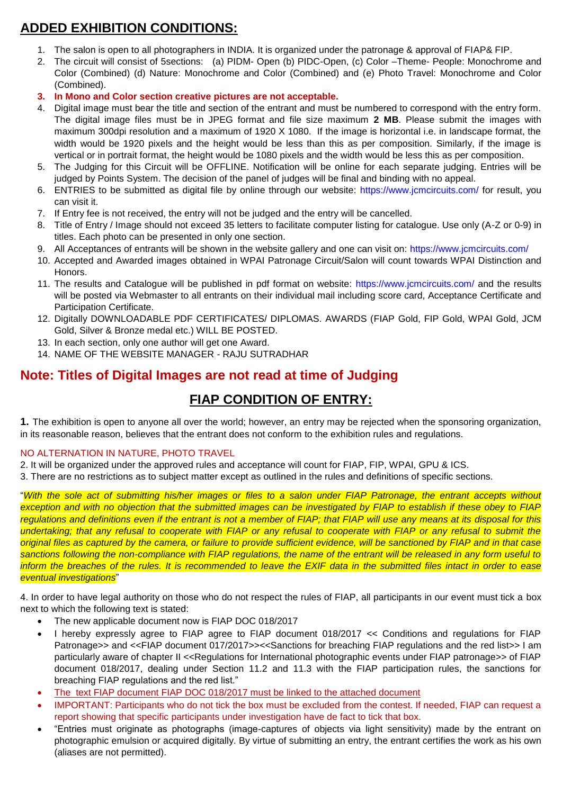## **ADDED EXHIBITION CONDITIONS:**

- 1. The salon is open to all photographers in INDIA. It is organized under the patronage & approval of FIAP& FIP.
- 2. The circuit will consist of 5sections: (a) PIDM- Open (b) PIDC-Open, (c) Color –Theme- People: Monochrome and Color (Combined) (d) Nature: Monochrome and Color (Combined) and (e) Photo Travel: Monochrome and Color (Combined).
- **3. In Mono and Color section creative pictures are not acceptable.**
- 4. Digital image must bear the title and section of the entrant and must be numbered to correspond with the entry form. The digital image files must be in JPEG format and file size maximum **2 MB**. Please submit the images with maximum 300dpi resolution and a maximum of 1920 X 1080. If the image is horizontal i.e. in landscape format, the width would be 1920 pixels and the height would be less than this as per composition. Similarly, if the image is vertical or in portrait format, the height would be 1080 pixels and the width would be less this as per composition.
- 5. The Judging for this Circuit will be OFFLINE. Notification will be online for each separate judging. Entries will be judged by Points System. The decision of the panel of judges will be final and binding with no appeal.
- 6. ENTRIES to be submitted as digital file by online through our website:<https://www.jcmcircuits.com/> for result, you can visit it.
- 7. If Entry fee is not received, the entry will not be judged and the entry will be cancelled.
- 8. Title of Entry / Image should not exceed 35 letters to facilitate computer listing for catalogue. Use only (A-Z or 0-9) in titles. Each photo can be presented in only one section.
- 9. All Acceptances of entrants will be shown in the website gallery and one can visit on:<https://www.jcmcircuits.com/>
- 10. Accepted and Awarded images obtained in WPAI Patronage Circuit/Salon will count towards WPAI Distinction and Honors.
- 11. The results and Catalogue will be published in pdf format on website:<https://www.jcmcircuits.com/> and the results will be posted via Webmaster to all entrants on their individual mail including score card, Acceptance Certificate and Participation Certificate.
- 12. Digitally DOWNLOADABLE PDF CERTIFICATES/ DIPLOMAS. AWARDS (FIAP Gold, FIP Gold, WPAI Gold, JCM Gold, Silver & Bronze medal etc.) WILL BE POSTED.
- 13. In each section, only one author will get one Award.
- 14. NAME OF THE WEBSITE MANAGER RAJU SUTRADHAR

#### **Note: Titles of Digital Images are not read at time of Judging**

### **FIAP CONDITION OF ENTRY:**

**1.** The exhibition is open to anyone all over the world; however, an entry may be rejected when the sponsoring organization, in its reasonable reason, believes that the entrant does not conform to the exhibition rules and regulations.

#### NO ALTERNATION IN NATURE, PHOTO TRAVEL

2. It will be organized under the approved rules and acceptance will count for FIAP, FIP, WPAI, GPU & ICS.

3. There are no restrictions as to subject matter except as outlined in the rules and definitions of specific sections.

"*With the sole act of submitting his/her images or files to a salon under FIAP Patronage, the entrant accepts without exception and with no objection that the submitted images can be investigated by FIAP to establish if these obey to FIAP regulations and definitions even if the entrant is not a member of FIAP; that FIAP will use any means at its disposal for this undertaking; that any refusal to cooperate with FIAP or any refusal to cooperate with FIAP or any refusal to submit the original files as captured by the camera, or failure to provide sufficient evidence, will be sanctioned by FIAP and in that case sanctions following the non-compliance with FIAP regulations, the name of the entrant will be released in any form useful to inform the breaches of the rules. It is recommended to leave the EXIF data in the submitted files intact in order to ease eventual investigations*"

4. In order to have legal authority on those who do not respect the rules of FIAP, all participants in our event must tick a box next to which the following text is stated:

- The new applicable document now is FIAP DOC 018/2017
- I hereby expressly agree to FIAP agree to FIAP document 018/2017 << Conditions and regulations for FIAP Patronage>> and <<FIAP document 017/2017>><<Sanctions for breaching FIAP regulations and the red list>> I am particularly aware of chapter II <<Regulations for International photographic events under FIAP patronage>> of FIAP document 018/2017, dealing under Section 11.2 and 11.3 with the FIAP participation rules, the sanctions for breaching FIAP regulations and the red list."
- The text FIAP document FIAP DOC 018/2017 must be linked to the attached document
- IMPORTANT: Participants who do not tick the box must be excluded from the contest. If needed, FIAP can request a report showing that specific participants under investigation have de fact to tick that box.
- "Entries must originate as photographs (image-captures of objects via light sensitivity) made by the entrant on photographic emulsion or acquired digitally. By virtue of submitting an entry, the entrant certifies the work as his own (aliases are not permitted).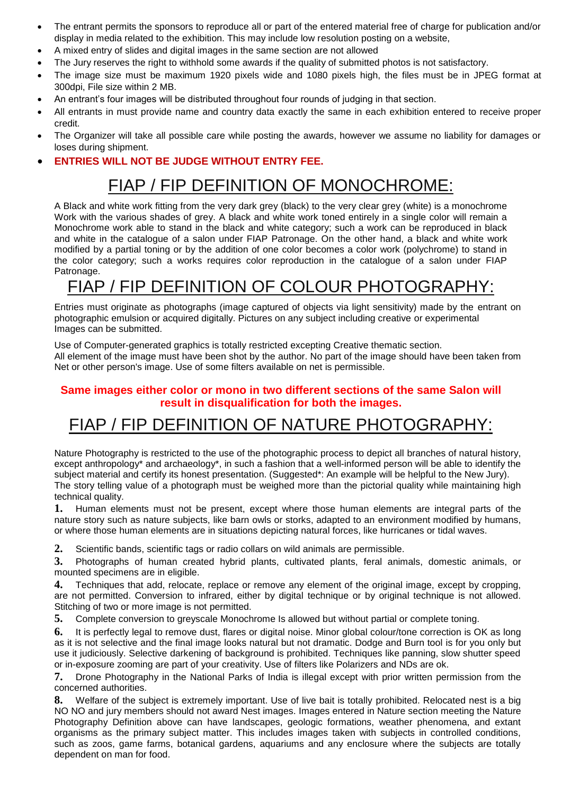- The entrant permits the sponsors to reproduce all or part of the entered material free of charge for publication and/or display in media related to the exhibition. This may include low resolution posting on a website,
- A mixed entry of slides and digital images in the same section are not allowed
- The Jury reserves the right to withhold some awards if the quality of submitted photos is not satisfactory.
- The image size must be maximum 1920 pixels wide and 1080 pixels high, the files must be in JPEG format at 300dpi, File size within 2 MB.
- An entrant's four images will be distributed throughout four rounds of judging in that section.
- All entrants in must provide name and country data exactly the same in each exhibition entered to receive proper credit.
- The Organizer will take all possible care while posting the awards, however we assume no liability for damages or loses during shipment.

#### **ENTRIES WILL NOT BE JUDGE WITHOUT ENTRY FEE.**

## FIAP / FIP DEFINITION OF MONOCHROME:

A Black and white work fitting from the very dark grey (black) to the very clear grey (white) is a monochrome Work with the various shades of grey. A black and white work toned entirely in a single color will remain a Monochrome work able to stand in the black and white category; such a work can be reproduced in black and white in the catalogue of a salon under FIAP Patronage. On the other hand, a black and white work modified by a partial toning or by the addition of one color becomes a color work (polychrome) to stand in the color category; such a works requires color reproduction in the catalogue of a salon under FIAP Patronage.

# FIAP / FIP DEFINITION OF COLOUR PHOTOGRAPHY:

Entries must originate as photographs (image captured of objects via light sensitivity) made by the entrant on photographic emulsion or acquired digitally. Pictures on any subject including creative or experimental Images can be submitted.

Use of Computer-generated graphics is totally restricted excepting Creative thematic section. All element of the image must have been shot by the author. No part of the image should have been taken from Net or other person's image. Use of some filters available on net is permissible.

#### **Same images either color or mono in two different sections of the same Salon will result in disqualification for both the images.**

## FIAP / FIP DEFINITION OF NATURE PHOTOGRAPHY:

Nature Photography is restricted to the use of the photographic process to depict all branches of natural history, except anthropology\* and archaeology\*, in such a fashion that a well-informed person will be able to identify the subject material and certify its honest presentation. (Suggested\*: An example will be helpful to the New Jury). The story telling value of a photograph must be weighed more than the pictorial quality while maintaining high technical quality.

**1.** Human elements must not be present, except where those human elements are integral parts of the nature story such as nature subjects, like barn owls or storks, adapted to an environment modified by humans, or where those human elements are in situations depicting natural forces, like hurricanes or tidal waves.

**2.** Scientific bands, scientific tags or radio collars on wild animals are permissible.

**3.** Photographs of human created hybrid plants, cultivated plants, feral animals, domestic animals, or mounted specimens are in eligible.

**4.** Techniques that add, relocate, replace or remove any element of the original image, except by cropping, are not permitted. Conversion to infrared, either by digital technique or by original technique is not allowed. Stitching of two or more image is not permitted.

**5.** Complete conversion to greyscale Monochrome Is allowed but without partial or complete toning.

**6.** It is perfectly legal to remove dust, flares or digital noise. Minor global colour/tone correction is OK as long as it is not selective and the final image looks natural but not dramatic. Dodge and Burn tool is for you only but use it judiciously. Selective darkening of background is prohibited. Techniques like panning, slow shutter speed or in-exposure zooming are part of your creativity. Use of filters like Polarizers and NDs are ok.

**7.** Drone Photography in the National Parks of India is illegal except with prior written permission from the concerned authorities.

**8.** Welfare of the subject is extremely important. Use of live bait is totally prohibited. Relocated nest is a big NO NO and jury members should not award Nest images. Images entered in Nature section meeting the Nature Photography Definition above can have landscapes, geologic formations, weather phenomena, and extant organisms as the primary subject matter. This includes images taken with subjects in controlled conditions, such as zoos, game farms, botanical gardens, aquariums and any enclosure where the subjects are totally dependent on man for food.